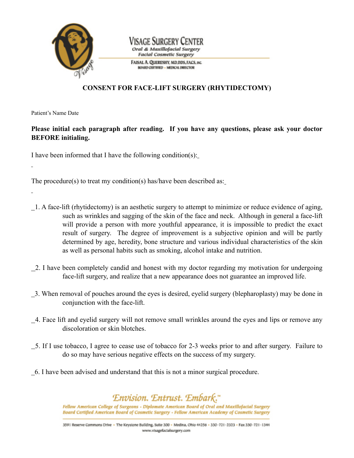

Oral & Maxillofacial Surgery **Facial Cosmetic Surgery** FAISAL A. QUERESHY, MD.DDS, FACS, INC. **BOARD CERTIFIED - MEDICAL DIRECTOR** 

VISAGE SURGERY CEI

## **CONSENT FOR FACE-LIFT SURGERY (RHYTIDECTOMY)**

Patient's Name Date

#### **Please initial each paragraph after reading. If you have any questions, please ask your doctor BEFORE initialing.**

I have been informed that I have the following condition(s):

The procedure(s) to treat my condition(s) has/have been described as:

- 1. A face-lift (rhytidectomy) is an aesthetic surgery to attempt to minimize or reduce evidence of aging, such as wrinkles and sagging of the skin of the face and neck. Although in general a face-lift will provide a person with more youthful appearance, it is impossible to predict the exact result of surgery. The degree of improvement is a subjective opinion and will be partly determined by age, heredity, bone structure and various individual characteristics of the skin as well as personal habits such as smoking, alcohol intake and nutrition.
- 2. I have been completely candid and honest with my doctor regarding my motivation for undergoing face-lift surgery, and realize that a new appearance does not guarantee an improved life.
- 3. When removal of pouches around the eyes is desired, eyelid surgery (blepharoplasty) may be done in conjunction with the face-lift.
- 4. Face lift and eyelid surgery will not remove small wrinkles around the eyes and lips or remove any discoloration or skin blotches.
- 5. If I use tobacco, I agree to cease use of tobacco for 2-3 weeks prior to and after surgery. Failure to do so may have serious negative effects on the success of my surgery.
- 6. I have been advised and understand that this is not a minor surgical procedure.



Fellow American College of Surgeons - Diplomate American Board of Oral and Maxillofacial Surgery Board Certified American Board of Cosmetic Surgery - Fellow American Academy of Cosmetic Surgery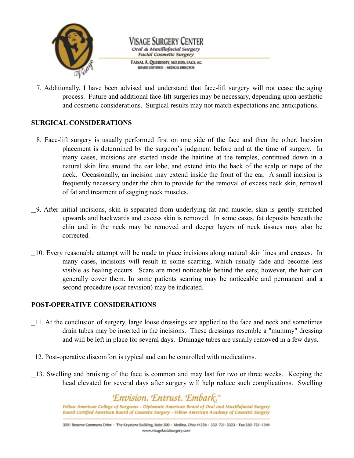

7. Additionally, I have been advised and understand that face-lift surgery will not cease the aging process. Future and additional face-lift surgeries may be necessary, depending upon aesthetic and cosmetic considerations. Surgical results may not match expectations and anticipations.

VISAGE SURGERY CENTER Oral & Maxillofacial Surgery **Facial Cosmetic Surgery** FAISAL A. QUERESHY, MD.DDS, FACS, INC. **BOARD CERTIFIED - MEDICAL DIRECTOR** 

### **SURGICAL CONSIDERATIONS**

- 8. Face-lift surgery is usually performed first on one side of the face and then the other. Incision placement is determined by the surgeon's judgment before and at the time of surgery. In many cases, incisions are started inside the hairline at the temples, continued down in a natural skin line around the ear lobe, and extend into the back of the scalp or nape of the neck. Occasionally, an incision may extend inside the front of the ear. A small incision is frequently necessary under the chin to provide for the removal of excess neck skin, removal of fat and treatment of sagging neck muscles.
- 9. After initial incisions, skin is separated from underlying fat and muscle; skin is gently stretched upwards and backwards and excess skin is removed. In some cases, fat deposits beneath the chin and in the neck may be removed and deeper layers of neck tissues may also be corrected.
- 10. Every reasonable attempt will be made to place incisions along natural skin lines and creases. In many cases, incisions will result in some scarring, which usually fade and become less visible as healing occurs. Scars are most noticeable behind the ears; however, the hair can generally cover them. In some patients scarring may be noticeable and permanent and a second procedure (scar revision) may be indicated.

#### **POST-OPERATIVE CONSIDERATIONS**

- 11. At the conclusion of surgery, large loose dressings are applied to the face and neck and sometimes drain tubes may be inserted in the incisions. These dressings resemble a "mummy" dressing and will be left in place for several days. Drainage tubes are usually removed in a few days.
- 12. Post-operative discomfort is typical and can be controlled with medications.
- 13. Swelling and bruising of the face is common and may last for two or three weeks. Keeping the head elevated for several days after surgery will help reduce such complications. Swelling

Envision. Entrust. Embark." Fellow American College of Surgeons - Diplomate American Board of Oral and Maxillofacial Surgery Board Certified American Board of Cosmetic Surgery - Fellow American Academy of Cosmetic Surgery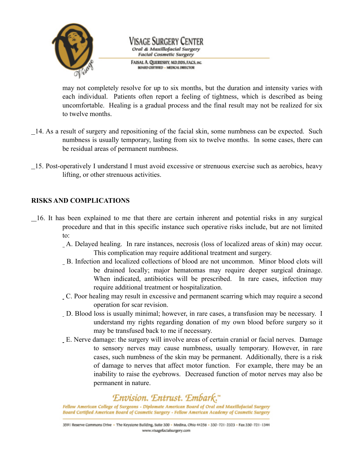

FAISAL A. QUERESHY, MD.DDS, FACS, INC. **BOARD CERTIFIED - MEDICAL DIRECTOR** may not completely resolve for up to six months, but the duration and intensity varies with each individual. Patients often report a feeling of tightness, which is described as being uncomfortable. Healing is a gradual process and the final result may not be realized for six

VISAGE SURGERY CENTER Oral & Maxillofacial Surgery **Facial Cosmetic Surgery** 

to twelve months.

- 14. As a result of surgery and repositioning of the facial skin, some numbness can be expected. Such numbness is usually temporary, lasting from six to twelve months. In some cases, there can be residual areas of permanent numbness.
- 15. Post-operatively I understand I must avoid excessive or strenuous exercise such as aerobics, heavy lifting, or other strenuous activities.

### **RISKS AND COMPLICATIONS**

- 16. It has been explained to me that there are certain inherent and potential risks in any surgical procedure and that in this specific instance such operative risks include, but are not limited to:
	- A. Delayed healing. In rare instances, necrosis (loss of localized areas of skin) may occur. This complication may require additional treatment and surgery.
	- B. Infection and localized collections of blood are not uncommon. Minor blood clots will be drained locally; major hematomas may require deeper surgical drainage. When indicated, antibiotics will be prescribed. In rare cases, infection may require additional treatment or hospitalization.
	- C. Poor healing may result in excessive and permanent scarring which may require a second operation for scar revision.
	- D. Blood loss is usually minimal; however, in rare cases, a transfusion may be necessary. I understand my rights regarding donation of my own blood before surgery so it may be transfused back to me if necessary.
	- E. Nerve damage: the surgery will involve areas of certain cranial or facial nerves. Damage to sensory nerves may cause numbness, usually temporary. However, in rare cases, such numbness of the skin may be permanent. Additionally, there is a risk of damage to nerves that affect motor function. For example, there may be an inability to raise the eyebrows. Decreased function of motor nerves may also be permanent in nature.

# Envision. Entrust. Embark."

Fellow American College of Surgeons - Diplomate American Board of Oral and Maxillofacial Surgery Board Certified American Board of Cosmetic Surgery - Fellow American Academy of Cosmetic Surgery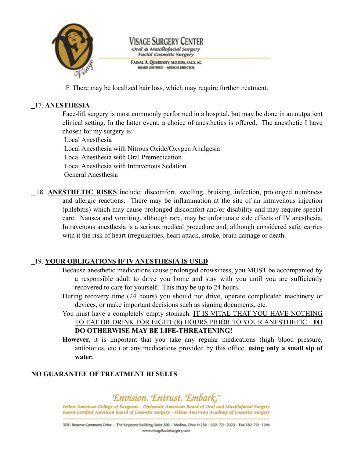

VISAGE SURGERY C Oral & Maxillofacial Surgery **Facial Cosmetic Surgery** FAISAL A. QUERESHY, MD.DDS, FACS, INC. **BOARD CERTIFIED - MEDICAL DIRECTOR** 

F. There may be localized hair loss, which may require further treatment.

## 17. **ANESTHESIA**

Face-lift surgery is most commonly performed in a hospital, but may be done in an outpatient clinical setting. In the latter event, a choice of anesthetics is offered. The anesthetic I have chosen for my surgery is:

 Local Anesthesia Local Anesthesia with Nitrous Oxide/Oxygen Analgesia Local Anesthesia with Oral Premedication Local Anesthesia with Intravenous Sedation General Anesthesia

18. **ANESTHETIC RISKS** include: discomfort, swelling, bruising, infection, prolonged numbness and allergic reactions. There may be inflammation at the site of an intravenous injection (phlebitis) which may cause prolonged discomfort and/or disability and may require special care. Nausea and vomiting, although rare, may be unfortunate side effects of IV anesthesia. Intravenous anesthesia is a serious medical procedure and, although considered safe, carries with it the risk of heart irregularities, heart attack, stroke, brain damage or death.

### 19. **YOUR OBLIGATIONS IF IV ANESTHESIA IS USED**

- Because anesthetic medications cause prolonged drowsiness, you MUST be accompanied by a responsible adult to drive you home and stay with you until you are sufficiently recovered to care for yourself. This may be up to 24 hours.
- During recovery time (24 hours) you should not drive, operate complicated machinery or devices, or make important decisions such as signing documents, etc.
- You must have a completely empty stomach. IT IS VITAL THAT YOU HAVE NOTHING TO EAT OR DRINK FOR EIGHT (8) HOURS PRIOR TO YOUR ANESTHETIC. **TO DO OTHERWISE MAY BE LIFE-THREATENING!**
- **However,** it is important that you take any regular medications (high blood pressure, antibiotics, etc.) or any medications provided by this office, **using only a small sip of water.**

#### **NO GUARANTEE OF TREATMENT RESULTS**

# Envision. Entrust. Embark."

Fellow American College of Surgeons - Diplomate American Board of Oral and Maxillofacial Surgery Board Certified American Board of Cosmetic Surgery - Fellow American Academy of Cosmetic Surgery

3591 Reserve Commons Drive · The Keystone Building, Suite 300 - Medina, Ohio 44256 - 330 - 721 - 2323 - Fax 330 - 721 - 1344 www.visagefacialsurgery.com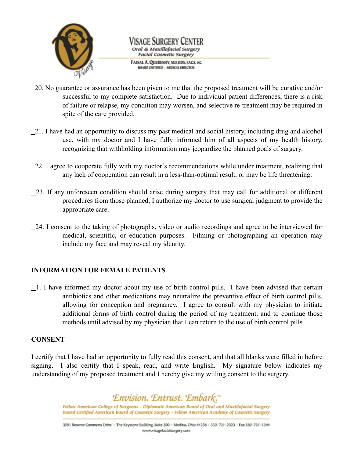

 20. No guarantee or assurance has been given to me that the proposed treatment will be curative and/or successful to my complete satisfaction. Due to individual patient differences, there is a risk of failure or relapse, my condition may worsen, and selective re-treatment may be required in spite of the care provided.

VISAGE SURGERY CENTER Oral & Maxillofacial Surgery **Facial Cosmetic Surgery** FAISAL A. QUERESHY, MD.DDS, FACS, INC. **BOARD CERTIFIED - MEDICAL DIRECTOR** 

- 21. I have had an opportunity to discuss my past medical and social history, including drug and alcohol use, with my doctor and I have fully informed him of all aspects of my health history, recognizing that withholding information may jeopardize the planned goals of surgery.
- 22. I agree to cooperate fully with my doctor's recommendations while under treatment, realizing that any lack of cooperation can result in a less-than-optimal result, or may be life threatening.
- 23. If any unforeseen condition should arise during surgery that may call for additional or different procedures from those planned, I authorize my doctor to use surgical judgment to provide the appropriate care.
- 24. I consent to the taking of photographs, video or audio recordings and agree to be interviewed for medical, scientific, or education purposes. Filming or photographing an operation may include my face and may reveal my identity.

### **INFORMATION FOR FEMALE PATIENTS**

1. I have informed my doctor about my use of birth control pills. I have been advised that certain antibiotics and other medications may neutralize the preventive effect of birth control pills, allowing for conception and pregnancy. I agree to consult with my physician to initiate additional forms of birth control during the period of my treatment, and to continue those methods until advised by my physician that I can return to the use of birth control pills.

#### **CONSENT**

I certify that I have had an opportunity to fully read this consent, and that all blanks were filled in before signing. I also certify that I speak, read, and write English. My signature below indicates my understanding of my proposed treatment and I hereby give my willing consent to the surgery.

> Envision. Entrust. Embark." Fellow American College of Surgeons - Diplomate American Board of Oral and Maxillofacial Surgery Board Certified American Board of Cosmetic Surgery - Fellow American Academy of Cosmetic Surgery

> 3591 Reserve Commons Drive · The Keystone Building, Suite 300 - Medina, Ohio 44256 - 330 - 721 - 2323 - Fax 330 - 721 - 1344 www.visagefacialsurgery.com